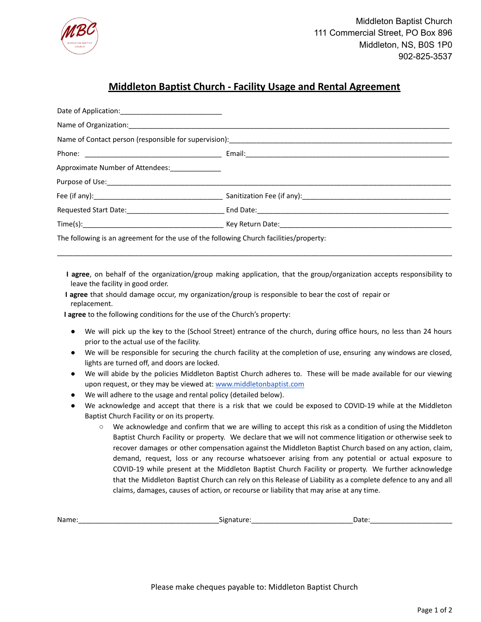

## **Middleton Baptist Church - Facility Usage and Rental Agreement**

| Approximate Number of Attendees: [100]                                                 |  |  |  |
|----------------------------------------------------------------------------------------|--|--|--|
|                                                                                        |  |  |  |
|                                                                                        |  |  |  |
|                                                                                        |  |  |  |
|                                                                                        |  |  |  |
| The following is an agreement for the use of the following Church facilities/property: |  |  |  |

**I agree**, on behalf of the organization/group making application, that the group/organization accepts responsibility to leave the facility in good order.

\_\_\_\_\_\_\_\_\_\_\_\_\_\_\_\_\_\_\_\_\_\_\_\_\_\_\_\_\_\_\_\_\_\_\_\_\_\_\_\_\_\_\_\_\_\_\_\_\_\_\_\_\_\_\_\_\_\_\_\_\_\_\_\_\_\_\_\_\_\_\_\_\_\_\_\_\_\_\_\_\_\_\_\_\_\_\_\_\_\_\_\_\_\_\_\_\_\_\_\_\_

**I agree** that should damage occur, my organization/group is responsible to bear the cost of repair or replacement.

**I agree** to the following conditions for the use of the Church's property:

- We will pick up the key to the (School Street) entrance of the church, during office hours, no less than 24 hours prior to the actual use of the facility.
- We will be responsible for securing the church facility at the completion of use, ensuring any windows are closed, lights are turned off, and doors are locked.
- We will abide by the policies Middleton Baptist Church adheres to. These will be made available for our viewing upon request, or they may be viewed at: [www.middletonbaptist.com](http://www.middletonbaptist.com/)
- We will adhere to the usage and rental policy (detailed below).
- We acknowledge and accept that there is a risk that we could be exposed to COVID-19 while at the Middleton Baptist Church Facility or on its property.
	- We acknowledge and confirm that we are willing to accept this risk as a condition of using the Middleton Baptist Church Facility or property. We declare that we will not commence litigation or otherwise seek to recover damages or other compensation against the Middleton Baptist Church based on any action, claim, demand, request, loss or any recourse whatsoever arising from any potential or actual exposure to COVID-19 while present at the Middleton Baptist Church Facility or property. We further acknowledge that the Middleton Baptist Church can rely on this Release of Liability as a complete defence to any and all claims, damages, causes of action, or recourse or liability that may arise at any time.